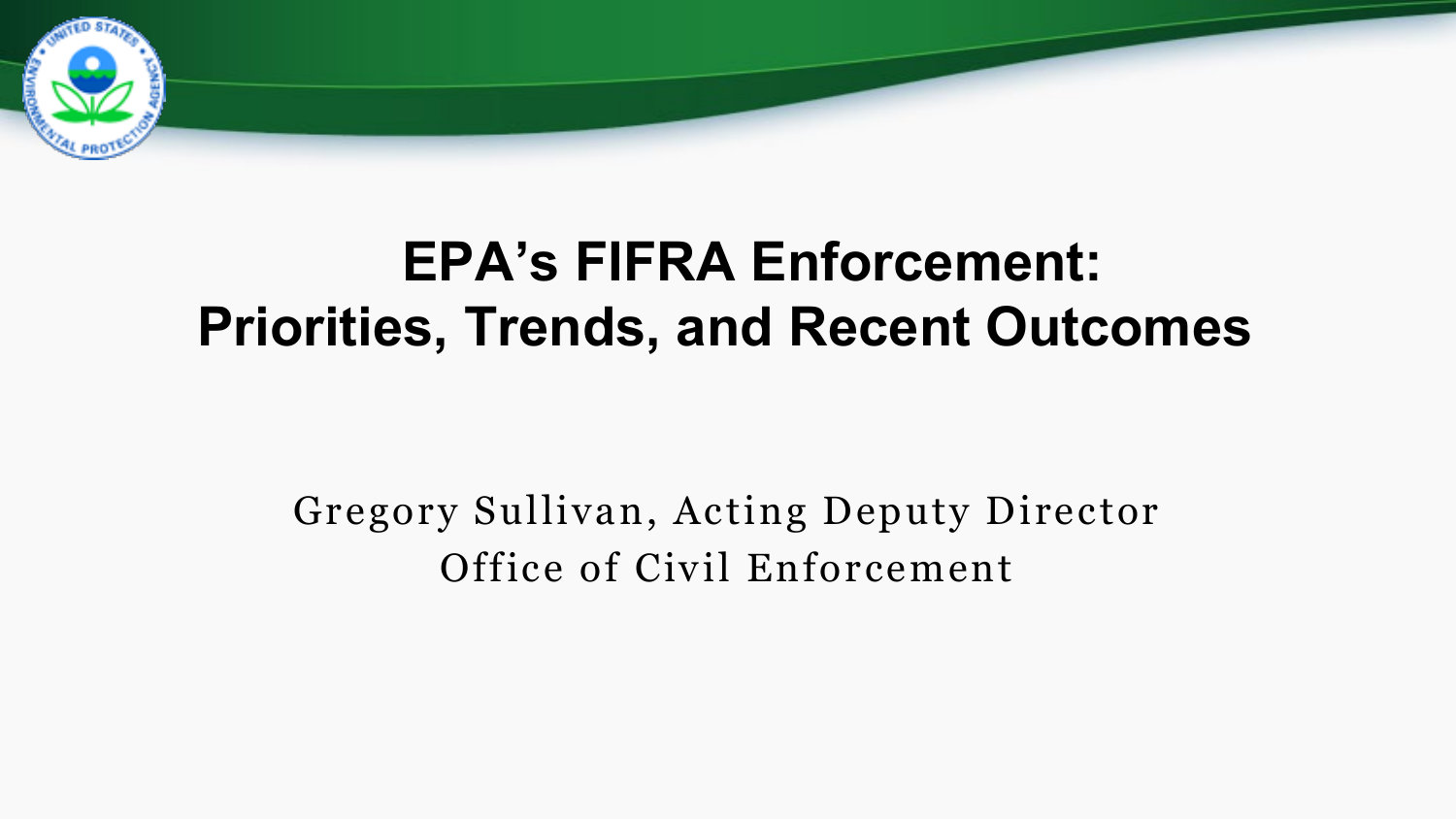

## **EPA's FIFRA Enforcement: Priorities, Trends, and Recent Outcomes**

Gregory Sullivan, Acting Deputy Director Office of Civil Enforcement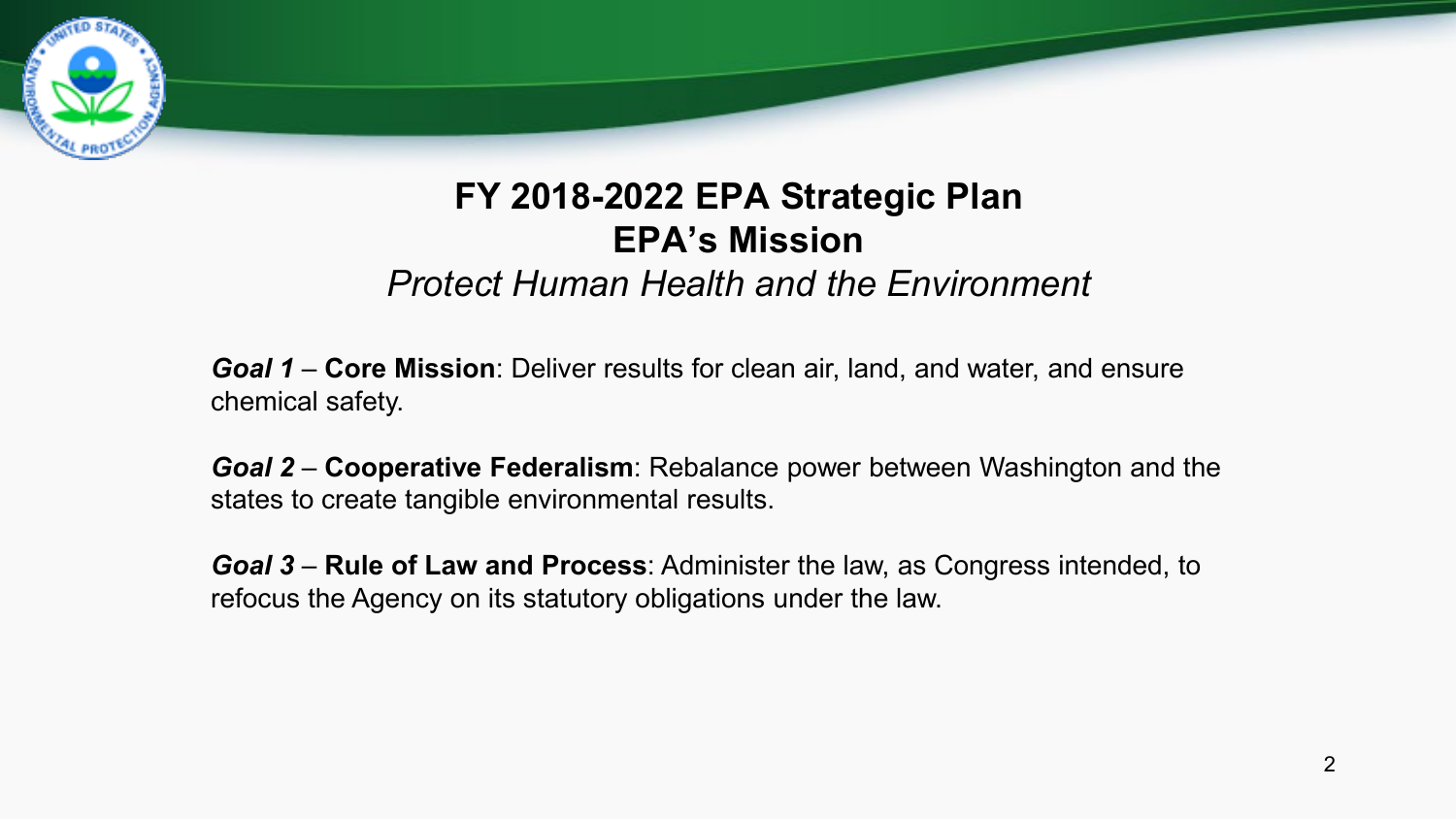

#### **FY 2018-2022 EPA Strategic Plan EPA's Mission**  *Protect Human Health and the Environment*

*Goal 1* – **Core Mission**: Deliver results for clean air, land, and water, and ensure chemical safety.

*Goal 2* – **Cooperative Federalism**: Rebalance power between Washington and the states to create tangible environmental results.

*Goal 3* – **Rule of Law and Process**: Administer the law, as Congress intended, to refocus the Agency on its statutory obligations under the law.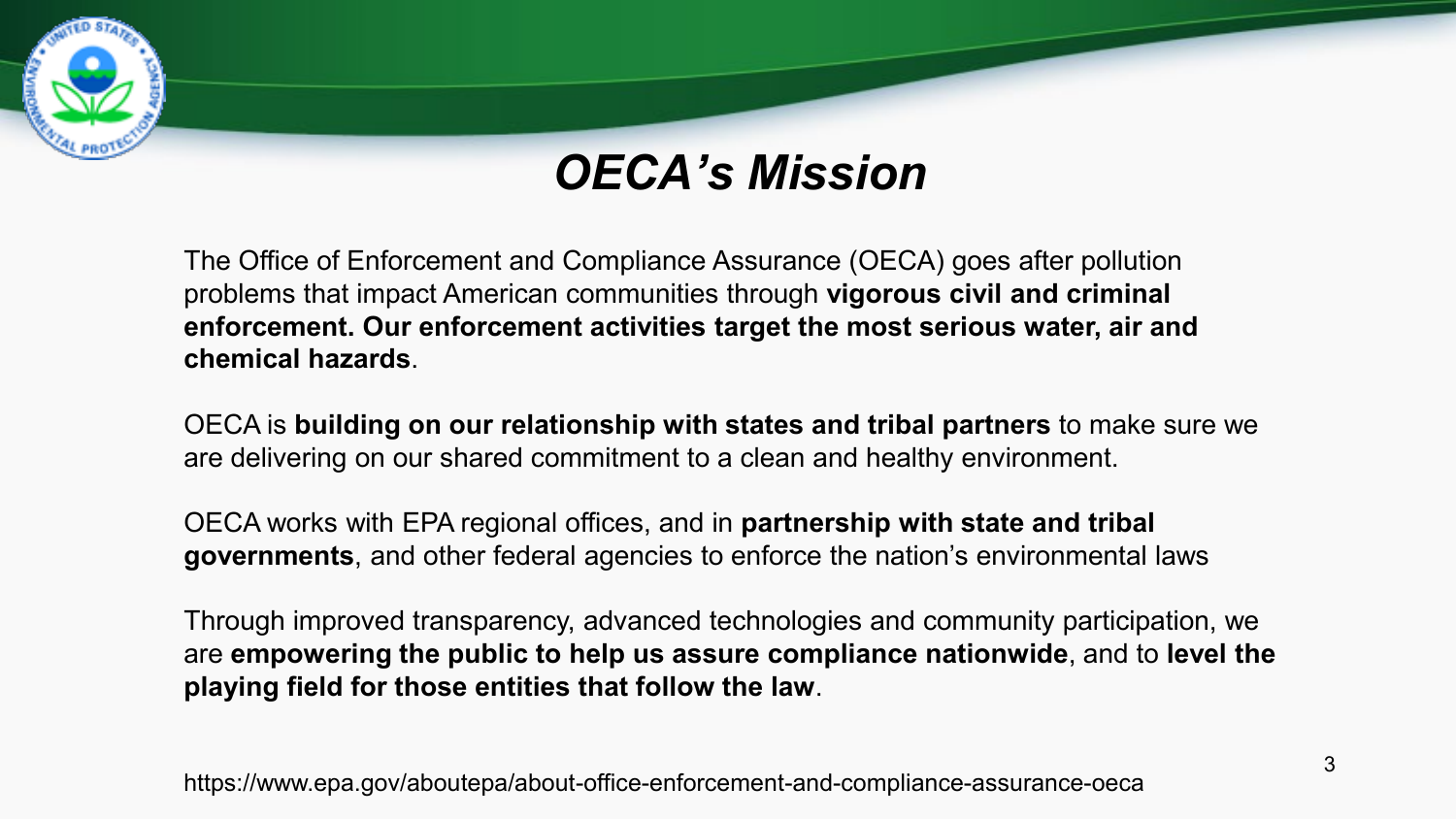### *OECA's Mission*

The Office of Enforcement and Compliance Assurance (OECA) goes after pollution problems that impact American communities through **vigorous civil and criminal enforcement. Our enforcement activities target the most serious water, air and chemical hazards**.

OECA is **building on our relationship with states and tribal partners** to make sure we are delivering on our shared commitment to a clean and healthy environment.

OECA works with EPA regional offices, and in **partnership with state and tribal governments**, and other federal agencies to enforce the nation's environmental laws

Through improved transparency, advanced technologies and community participation, we are **empowering the public to help us assure compliance nationwide**, and to **level the playing field for those entities that follow the law**.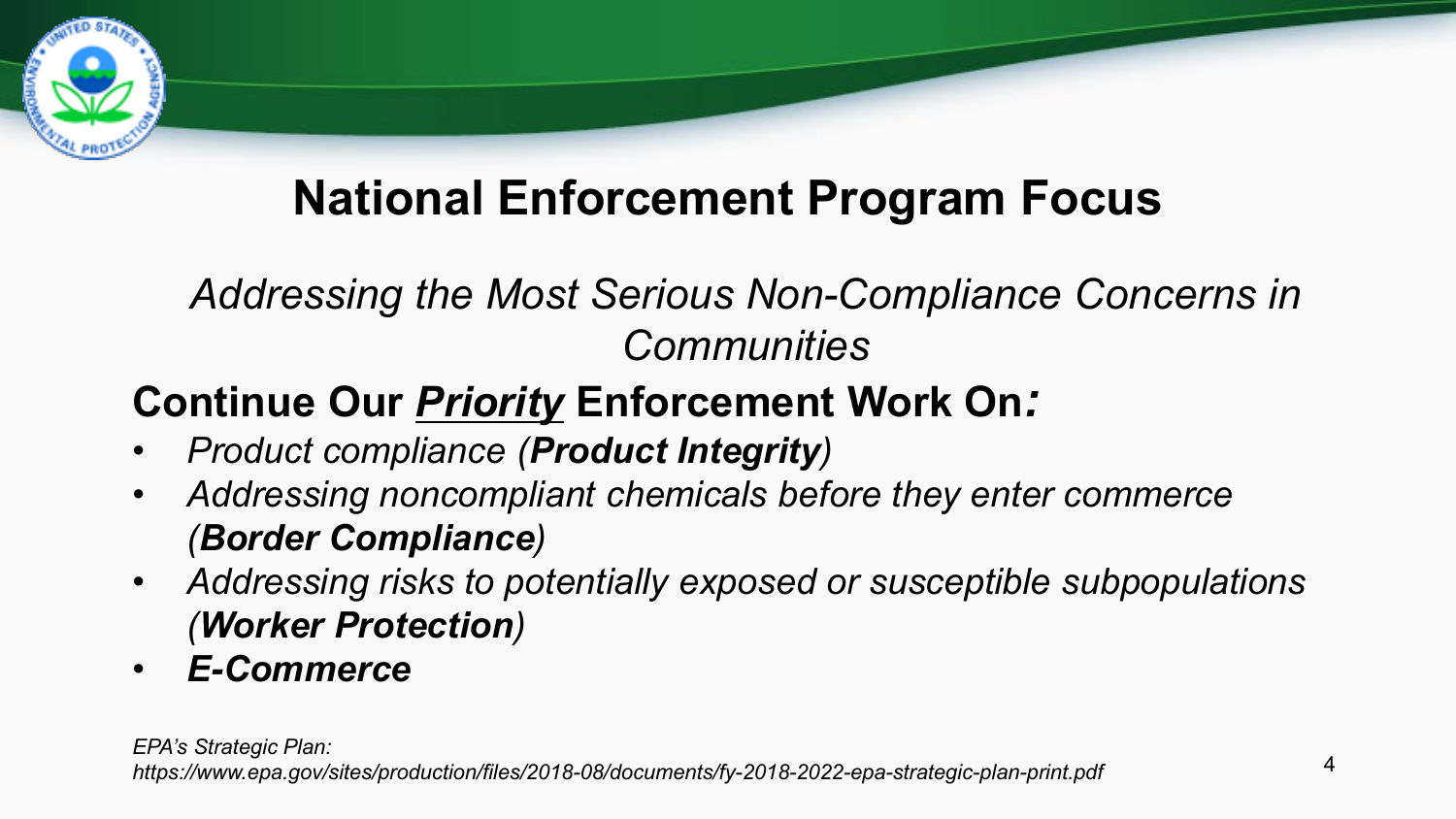## **National Enforcement Program Focus**

### *Addressing the Most Serious Non-Compliance Concerns in Communities*

### **Continue Our** *Priority* **Enforcement Work On***:*

- *Product compliance (Product Integrity)*
- *Addressing noncompliant chemicals before they enter commerce (Border Compliance)*
- *Addressing risks to potentially exposed or susceptible subpopulations (Worker Protection)*
- *E-Commerce*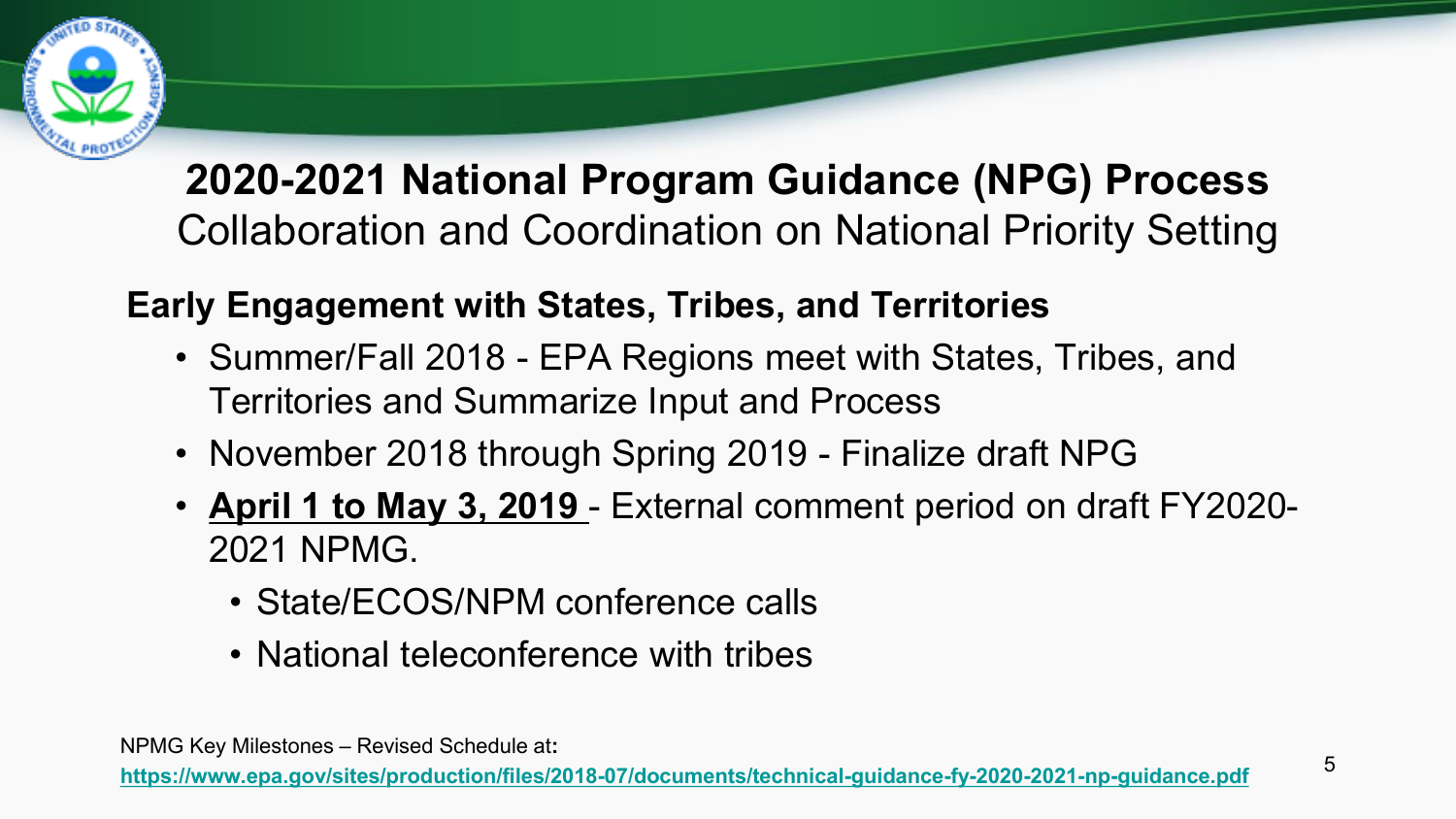

### **2020-2021 National Program Guidance (NPG) Process**  Collaboration and Coordination on National Priority Setting

#### **Early Engagement with States, Tribes, and Territories**

- Summer/Fall 2018 EPA Regions meet with States, Tribes, and Territories and Summarize Input and Process
- November 2018 through Spring 2019 Finalize draft NPG
- **April 1 to May 3, 2019**  External comment period on draft FY2020- 2021 NPMG.
	- State/ECOS/NPM conference calls
	- National teleconference with tribes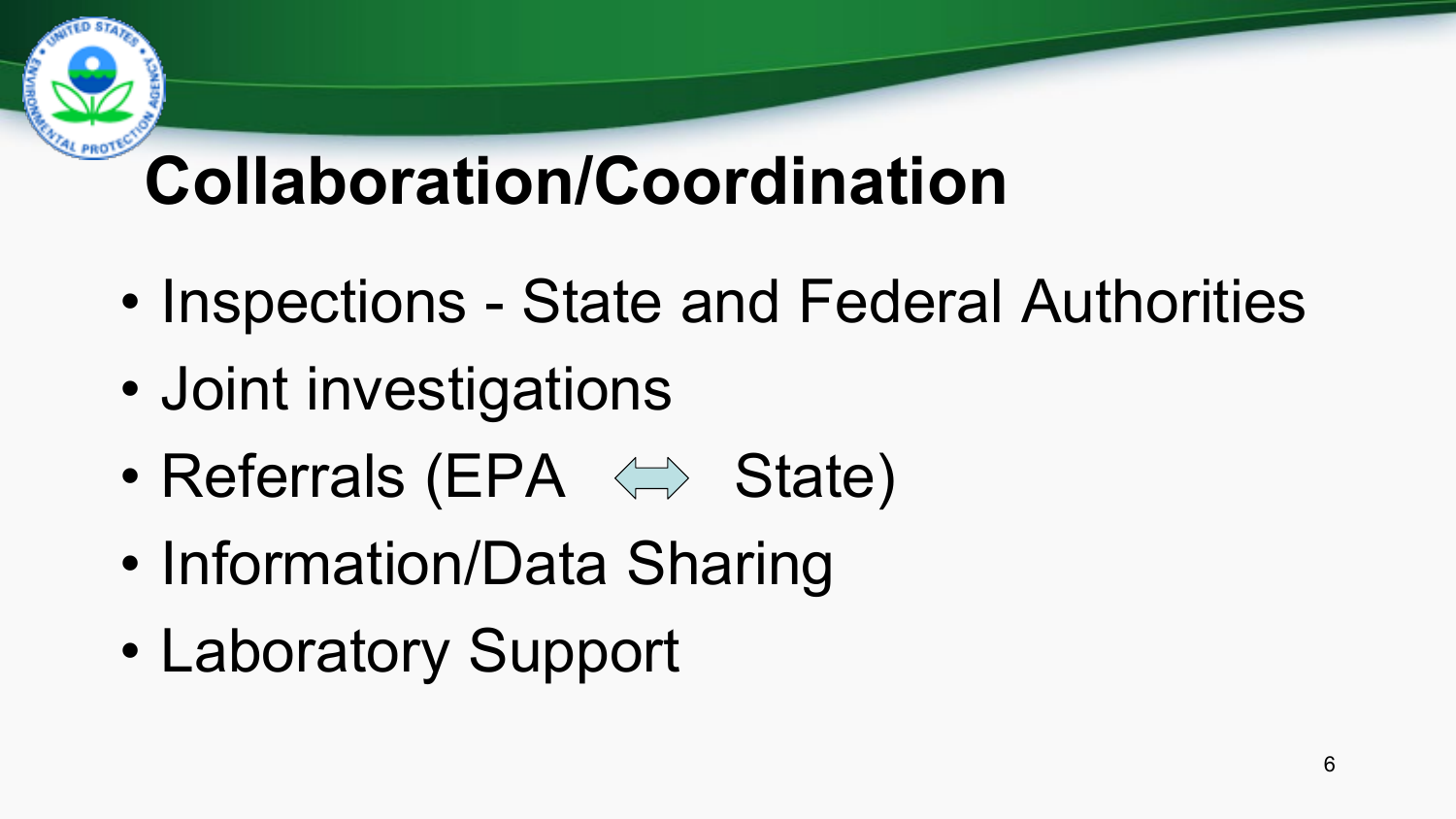# **Collaboration/Coordination**

- Inspections State and Federal Authorities
- Joint investigations
- Referrals (EPA  $\iff$  State)
- Information/Data Sharing
- Laboratory Support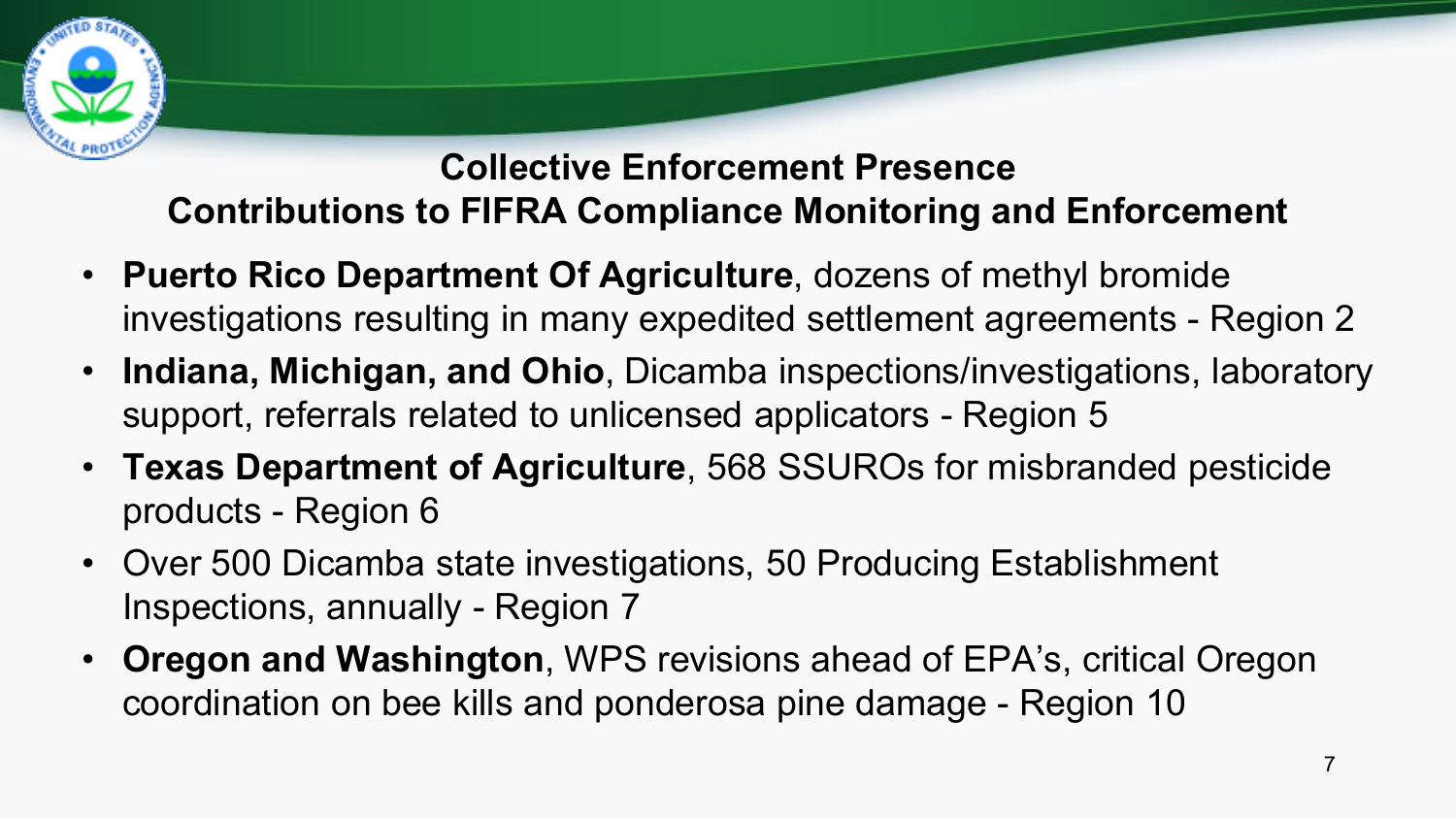

#### **Collective Enforcement Presence Contributions to FIFRA Compliance Monitoring and Enforcement**

- **Puerto Rico Department Of Agriculture**, dozens of methyl bromide investigations resulting in many expedited settlement agreements - Region 2
- **Indiana, Michigan, and Ohio**, Dicamba inspections/investigations, laboratory support, referrals related to unlicensed applicators - Region 5
- **Texas Department of Agriculture**, 568 SSUROs for misbranded pesticide products - Region 6
- Over 500 Dicamba state investigations, 50 Producing Establishment Inspections, annually - Region 7
- **Oregon and Washington**, WPS revisions ahead of EPA's, critical Oregon coordination on bee kills and ponderosa pine damage - Region 10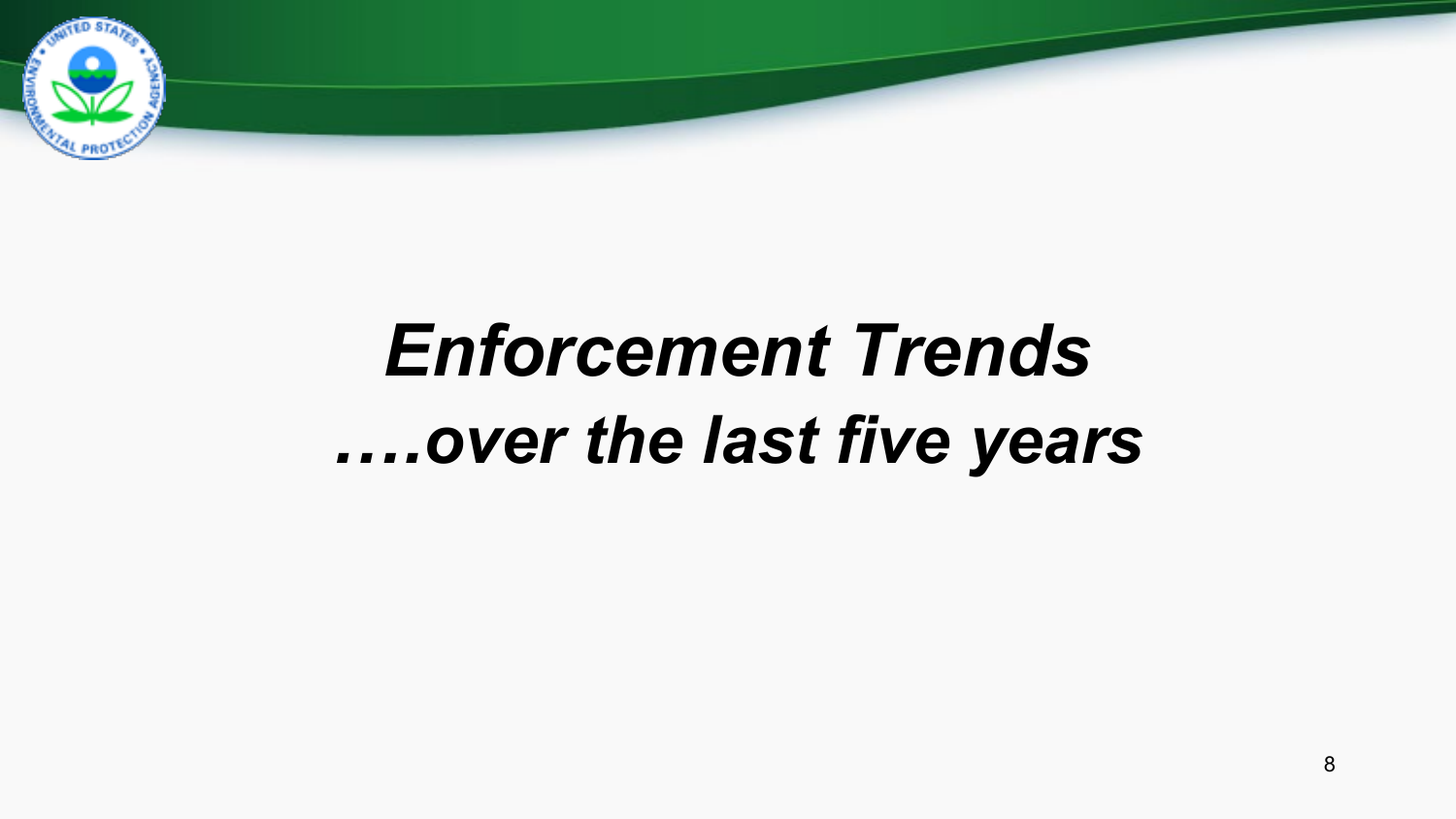

# *Enforcement Trends ….over the last five years*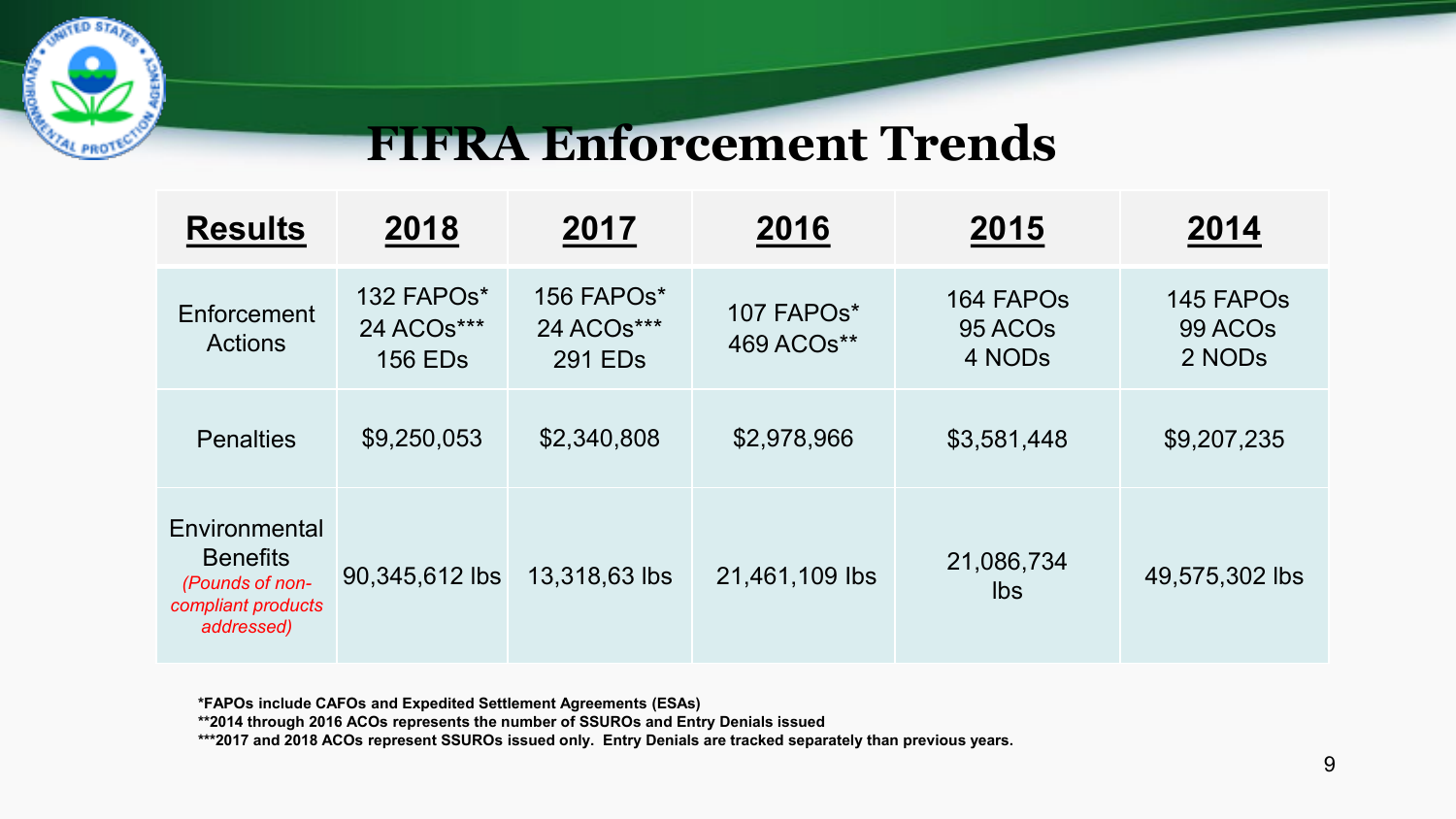

### **FIFRA Enforcement Trends**

| <b>Results</b>                                                                          | 2018                                       | 2017                                            | 2016                     | 2015                                       | 2014                                       |
|-----------------------------------------------------------------------------------------|--------------------------------------------|-------------------------------------------------|--------------------------|--------------------------------------------|--------------------------------------------|
| Enforcement<br><b>Actions</b>                                                           | 132 FAPOs*<br>24 ACOs***<br><b>156 EDs</b> | 156 FAPOs*<br>24 ACOs***<br>291 ED <sub>s</sub> | 107 FAPOs*<br>469 ACOs** | 164 FAPOs<br>95 ACO <sub>s</sub><br>4 NODs | 145 FAPOs<br>99 ACO <sub>s</sub><br>2 NODs |
| <b>Penalties</b>                                                                        | \$9,250,053                                | \$2,340,808                                     | \$2,978,966              | \$3,581,448                                | \$9,207,235                                |
| Environmental<br><b>Benefits</b><br>(Pounds of non-<br>compliant products<br>addressed) | 90,345,612 lbs                             | 13,318,63 lbs                                   | 21,461,109 lbs           | 21,086,734<br>Ibs                          | 49,575,302 lbs                             |

**\*FAPOs include CAFOs and Expedited Settlement Agreements (ESAs)** 

**\*\*2014 through 2016 ACOs represents the number of SSUROs and Entry Denials issued**

**\*\*\*2017 and 2018 ACOs represent SSUROs issued only. Entry Denials are tracked separately than previous years.**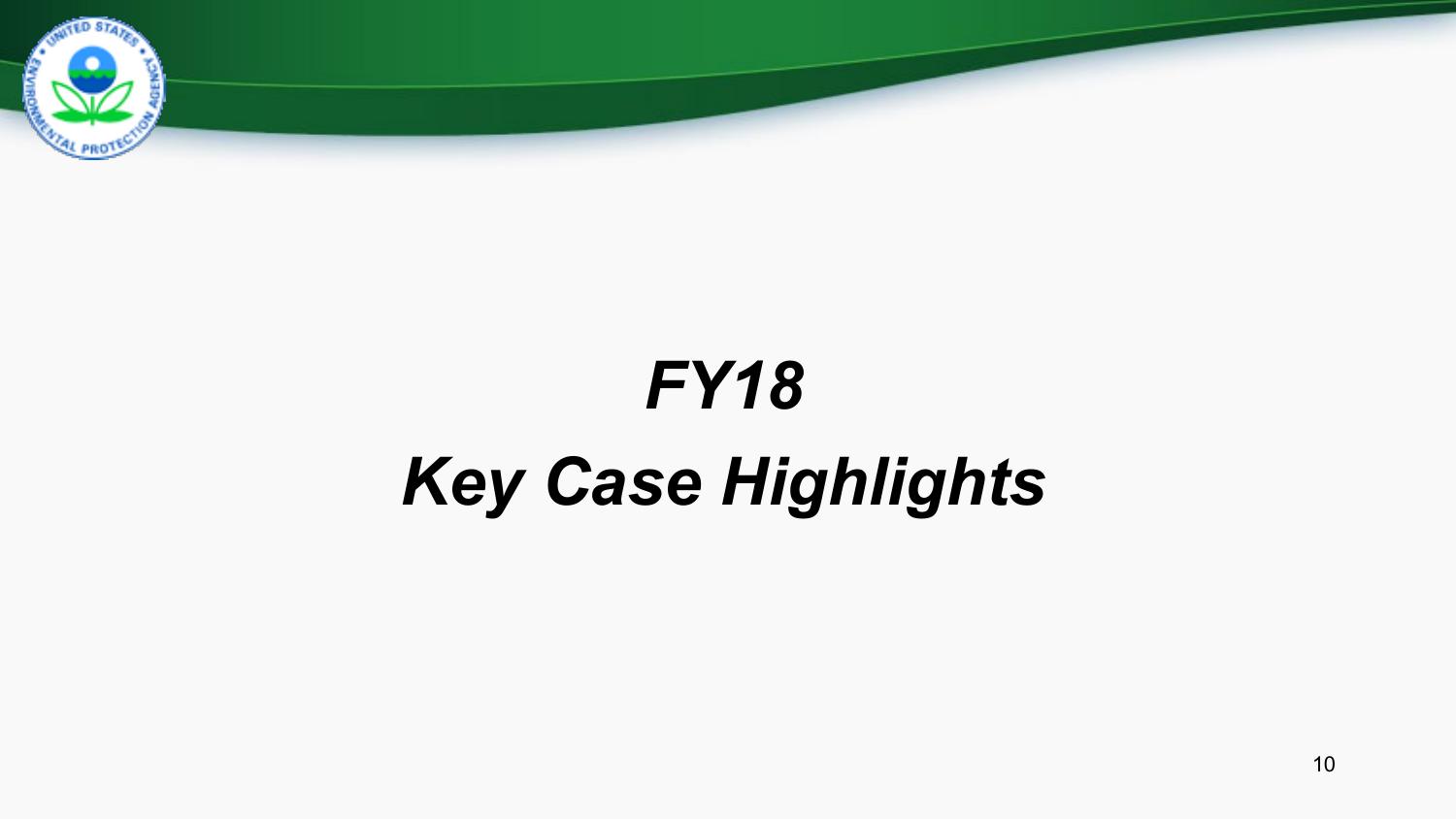

# *FY18 Key Case Highlights*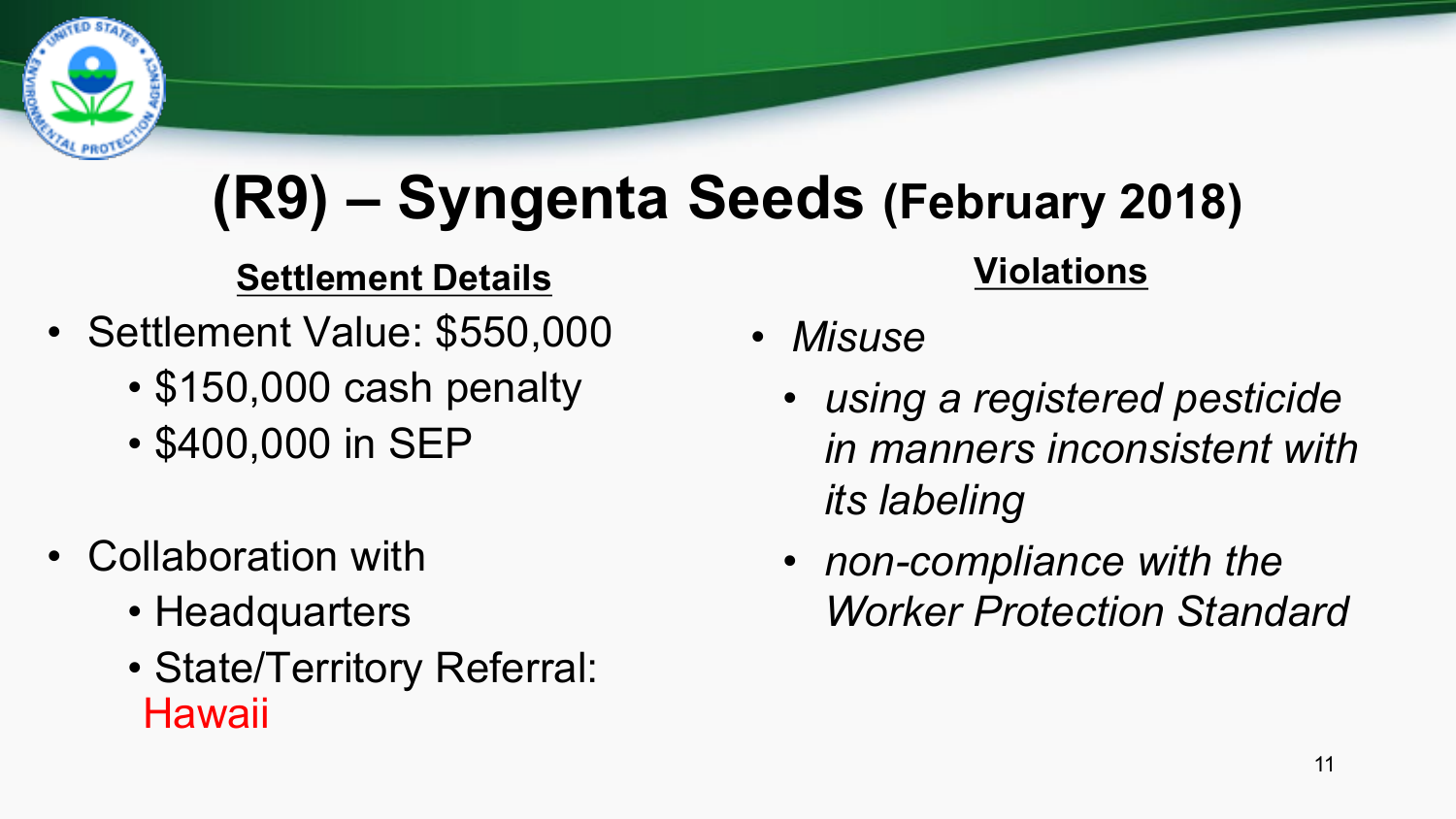

# **(R9) – Syngenta Seeds (February 2018)**

#### **Settlement Details**

- Settlement Value: \$550,000
	- \$150,000 cash penalty
	- \$400,000 in SEP
- Collaboration with
	- Headquarters
	- State/Territory Referral: **Hawaii**

#### **Violations**

- *Misuse*
	- *using a registered pesticide in manners inconsistent with its labeling*
	- *non-compliance with the Worker Protection Standard*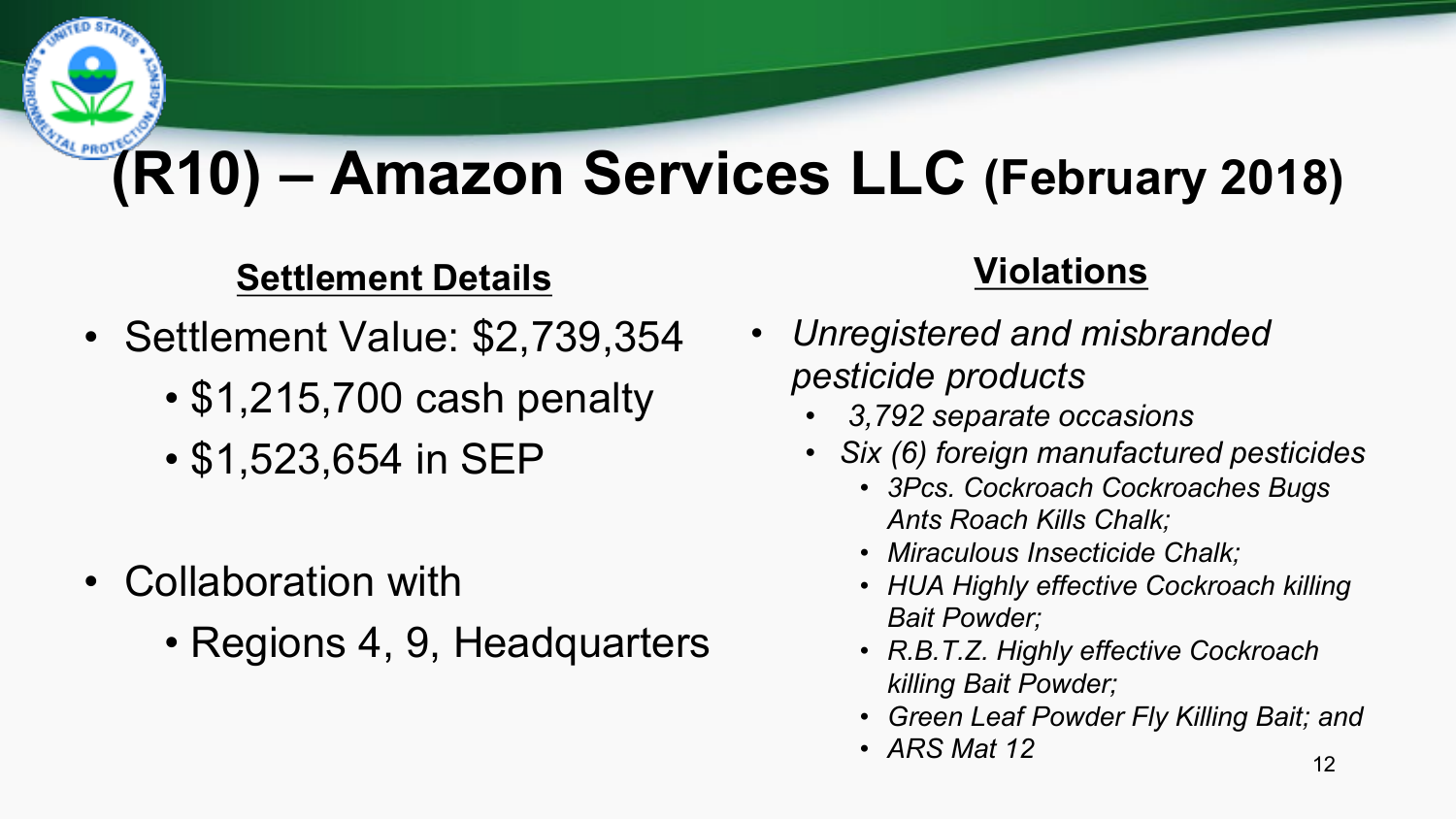# **(R10) – Amazon Services LLC (February 2018)**

#### **Settlement Details**

- Settlement Value: \$2,739,354
	- \$1,215,700 cash penalty
	- \$1,523,654 in SEP
- Collaboration with
	- Regions 4, 9, Headquarters

#### **Violations**

- *Unregistered and misbranded pesticide products*
	- *3,792 separate occasions*
	- *Six (6) foreign manufactured pesticides*
		- *3Pcs. Cockroach Cockroaches Bugs Ants Roach Kills Chalk;*
		- *Miraculous Insecticide Chalk;*
		- *HUA Highly effective Cockroach killing Bait Powder;*
		- *R.B.T.Z. Highly effective Cockroach killing Bait Powder;*
		- *Green Leaf Powder Fly Killing Bait; and*
		- *ARS Mat 12* 12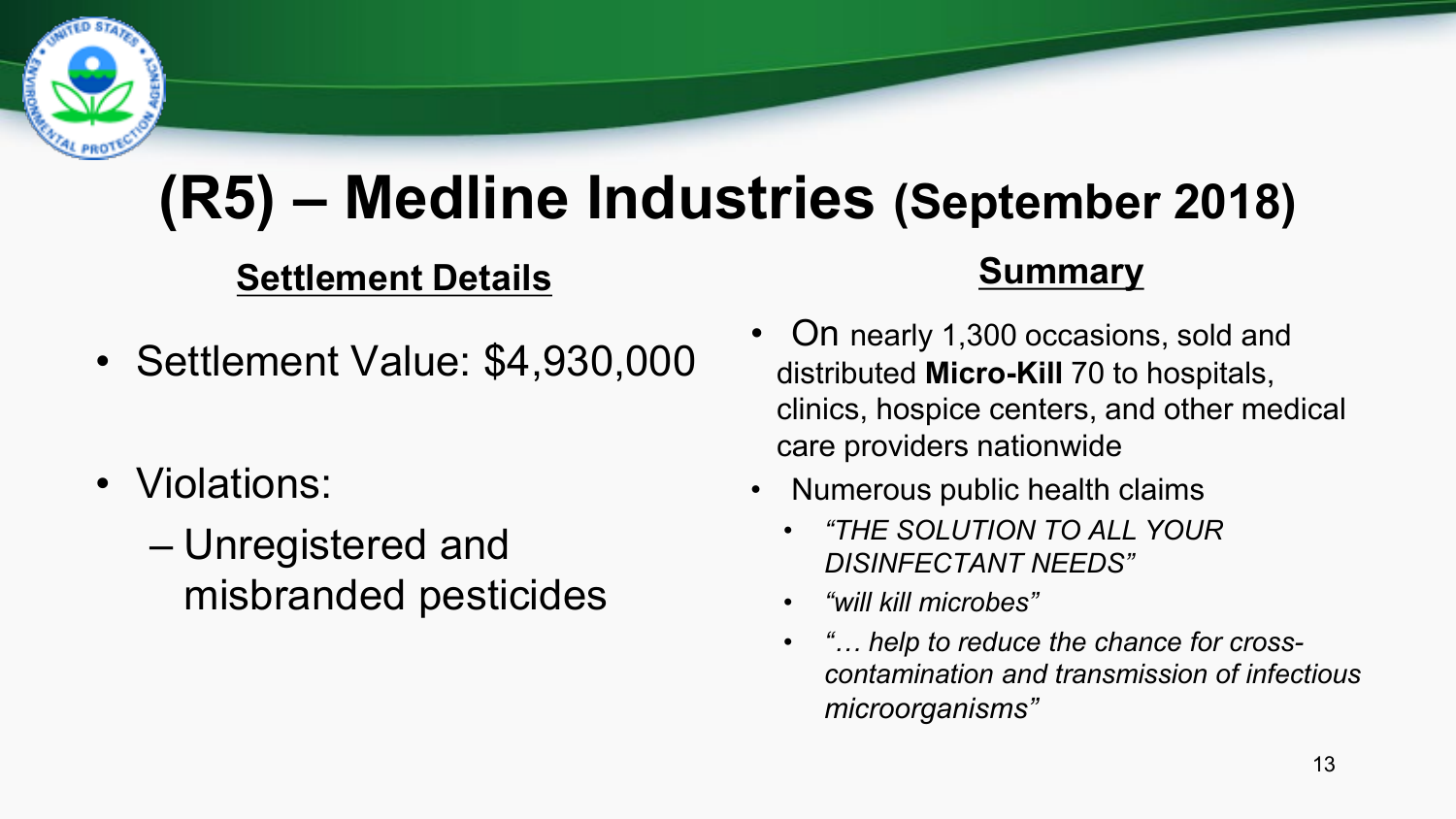

# **(R5) – Medline Industries (September 2018)**

#### **Settlement Details**

- Settlement Value: \$4,930,000
- Violations:
	- Unregistered and misbranded pesticides

#### **Summary**

- On nearly 1,300 occasions, sold and distributed **Micro-Kill** 70 to hospitals, clinics, hospice centers, and other medical care providers nationwide
- Numerous public health claims
	- *"THE SOLUTION TO ALL YOUR DISINFECTANT NEEDS"*
	- *"will kill microbes"*
	- *"… help to reduce the chance for crosscontamination and transmission of infectious microorganisms"*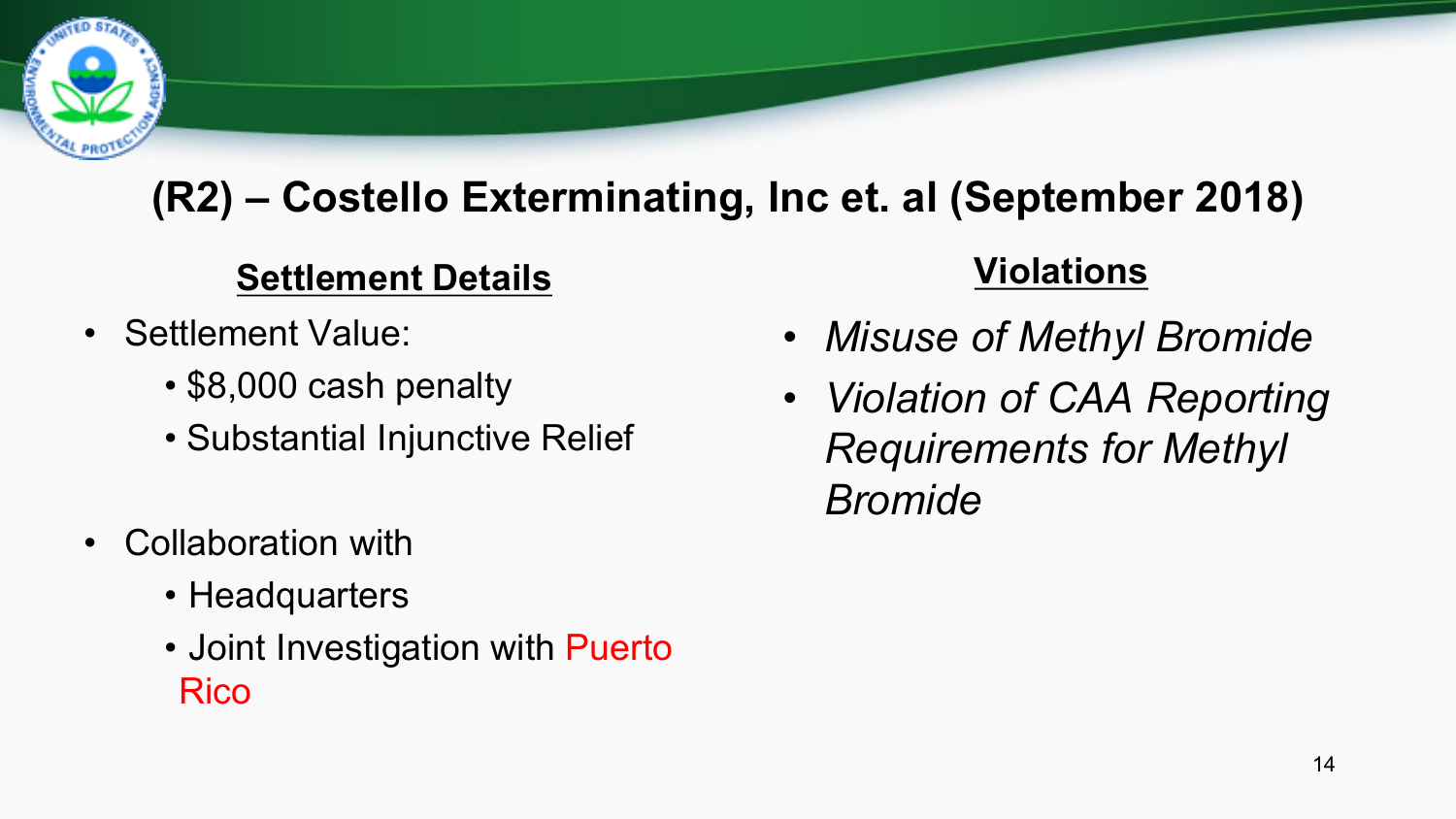

### **(R2) – Costello Exterminating, Inc et. al (September 2018)**

#### **Settlement Details**

- Settlement Value:
	- \$8,000 cash penalty
	- Substantial Injunctive Relief
- Collaboration with
	- Headquarters
	- Joint Investigation with Puerto Rico

#### **Violations**

- *Misuse of Methyl Bromide*
- *Violation of CAA Reporting Requirements for Methyl Bromide*